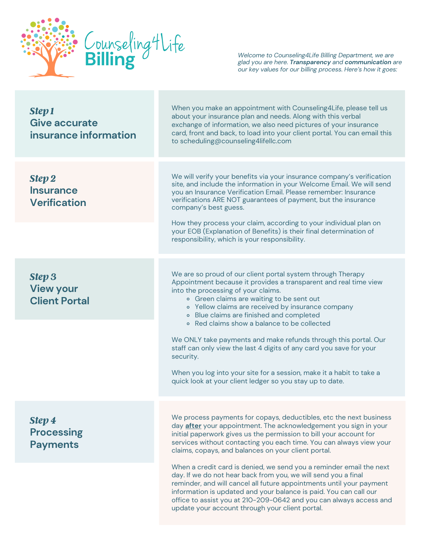

*Welcome to Counseling4Life Billing Department, we are glad you are here. Transparency and communication are our key values for our billing process. Here's how it goes:*

| <b>Step 1</b><br>Give accurate<br>insurance information   | When you make an appointment with Counseling4Life, please tell us<br>about your insurance plan and needs. Along with this verbal<br>exchange of information, we also need pictures of your insurance<br>card, front and back, to load into your client portal. You can email this<br>to scheduling@counseling4lifellc.com                                                                                                                                                                                                                                                                                                                                      |
|-----------------------------------------------------------|----------------------------------------------------------------------------------------------------------------------------------------------------------------------------------------------------------------------------------------------------------------------------------------------------------------------------------------------------------------------------------------------------------------------------------------------------------------------------------------------------------------------------------------------------------------------------------------------------------------------------------------------------------------|
| <b>Step 2</b><br><b>Insurance</b><br><b>Verification</b>  | We will verify your benefits via your insurance company's verification<br>site, and include the information in your Welcome Email. We will send<br>you an Insurance Verification Email. Please remember: Insurance<br>verifications ARE NOT guarantees of payment, but the insurance<br>company's best guess.<br>How they process your claim, according to your individual plan on<br>your EOB (Explanation of Benefits) is their final determination of<br>responsibility, which is your responsibility.                                                                                                                                                      |
|                                                           |                                                                                                                                                                                                                                                                                                                                                                                                                                                                                                                                                                                                                                                                |
| <b>Step 3</b><br><b>View your</b><br><b>Client Portal</b> | We are so proud of our client portal system through Therapy<br>Appointment because it provides a transparent and real time view<br>into the processing of your claims.<br>• Green claims are waiting to be sent out<br>• Yellow claims are received by insurance company<br>· Blue claims are finished and completed<br>• Red claims show a balance to be collected<br>We ONLY take payments and make refunds through this portal. Our<br>staff can only view the last 4 digits of any card you save for your<br>security.<br>When you log into your site for a session, make it a habit to take a<br>quick look at your client ledger so you stay up to date. |
|                                                           |                                                                                                                                                                                                                                                                                                                                                                                                                                                                                                                                                                                                                                                                |
| <b>Step 4</b><br><b>Processing</b><br><b>Payments</b>     | We process payments for copays, deductibles, etc the next business<br>day <b>after</b> your appointment. The acknowledgement you sign in your<br>initial paperwork gives us the permission to bill your account for<br>services without contacting you each time. You can always view your<br>claims, copays, and balances on your client portal.                                                                                                                                                                                                                                                                                                              |
|                                                           | When a credit card is denied, we send you a reminder email the next<br>day. If we do not hear back from you, we will send you a final<br>reminder, and will cancel all future appointments until your payment<br>information is updated and your balance is paid. You can call our<br>office to assist you at 210-209-0642 and you can always access and<br>update your account through your client portal.                                                                                                                                                                                                                                                    |